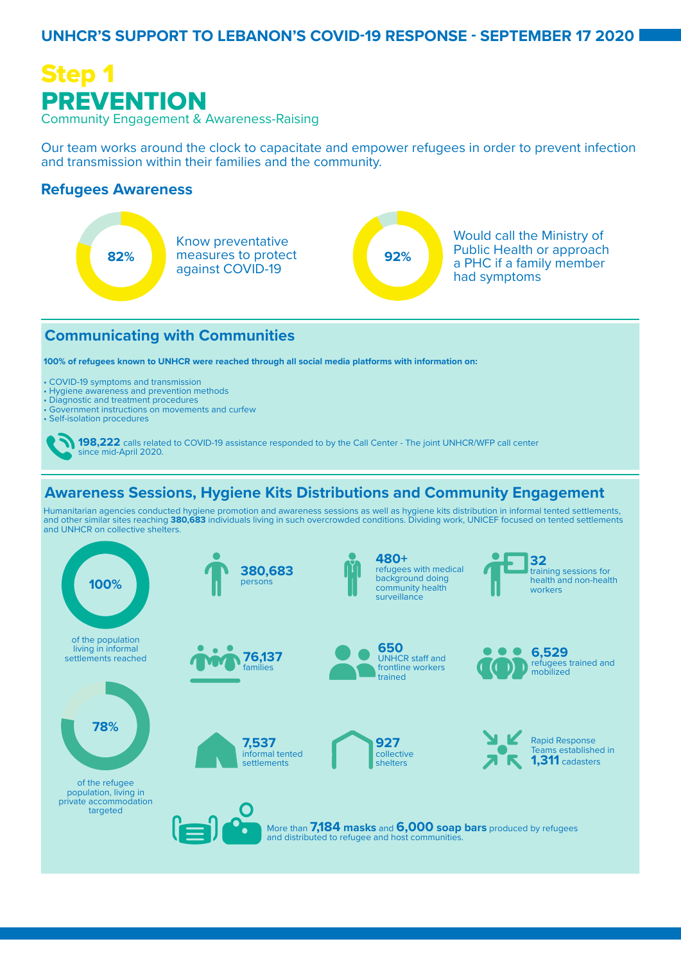### **UNHCR'S SUPPORT TO LEBANON'S COVID-19 RESPONSE - SEPTEMBER 17 2020**



Our team works around the clock to capacitate and empower refugees in order to prevent infection and transmission within their families and the community.

### **Refugees Awareness**



### **Communicating with Communities**

**100% of refugees known to UNHCR were reached through all social media platforms with information on:**

- COVID-19 symptoms and transmission
- Hygiene awareness and prevention methods
- Diagnostic and treatment procedures
- Government instructions on movements and curfew
- Self-isolation procedures

### **Awareness Sessions, Hygiene Kits Distributions and Community Engagement**

Humanitarian agencies conducted hygiene promotion and awareness sessions as well as hygiene kits distribution in informal tented settlements, and other similar sites reaching **380,683** individuals living in such overcrowded conditions. Dividing work, UNICEF focused on tented settlements and UNHCR on collective shelters.



**<sup>198,222</sup>** calls related to COVID-19 assistance responded to by the Call Center - The joint UNHCR/WFP call center since mid-April 2020.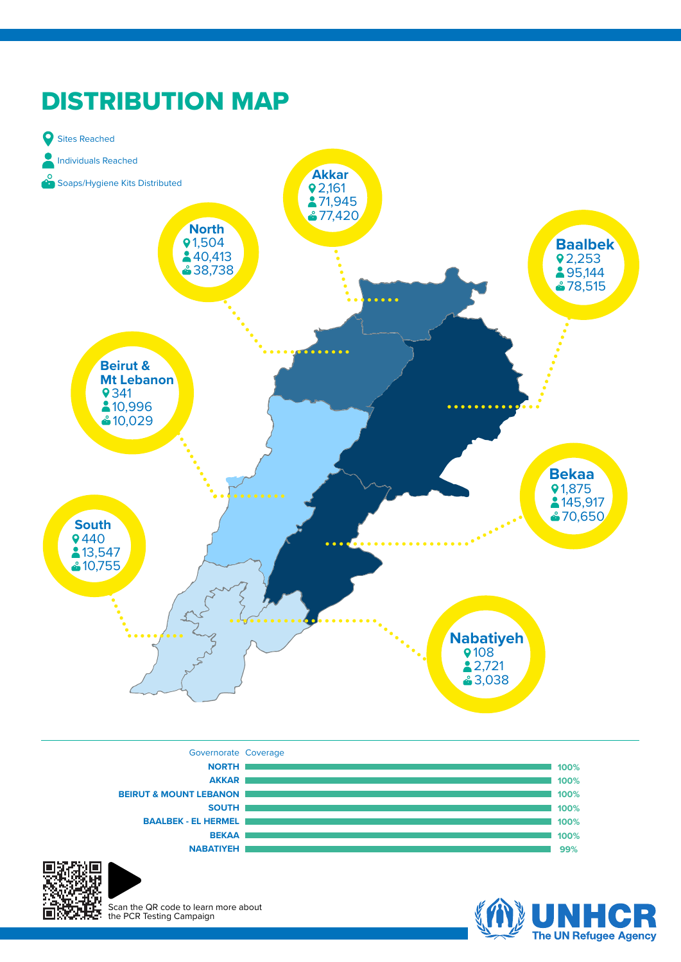







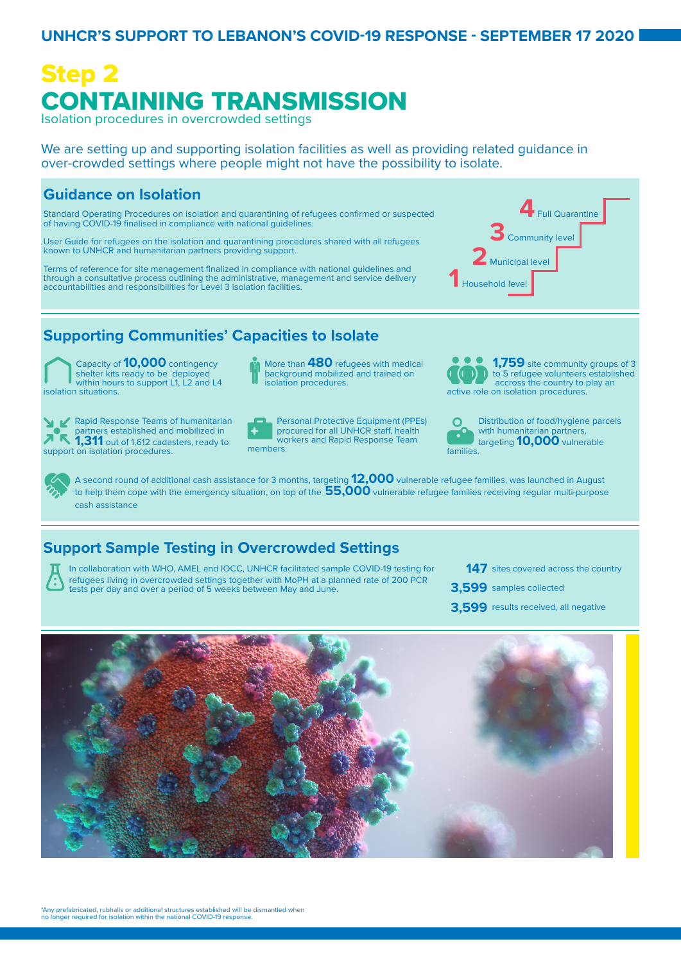### **UNHCR'S SUPPORT TO LEBANON'S COVID-19 RESPONSE - SEPTEMBER 17 2020**

### Step 2 CONTAINING TRANSMISSION Isolation procedures in overcrowded settings

We are setting up and supporting isolation facilities as well as providing related guidance in over-crowded settings where people might not have the possibility to isolate.

### **Guidance on Isolation**

Standard Operating Procedures on isolation and quarantining of refugees confirmed or suspected of having COVID-19 finalised in compliance with national guidelines.

User Guide for refugees on the isolation and quarantining procedures shared with all refugees known to UNHCR and humanitarian partners providing support.

Terms of reference for site management finalized in compliance with national guidelines and through a consultative process outlining the administrative, management and service delivery accountabilities and responsibilities for Level 3 isolation facilities.



### **Supporting Communities' Capacities to Isolate**

Capacity of **10,000** contingency shelter kits ready to be deployed within hours to support L1, L2 and L4 isolation situations.

support on isolation procedures.

background mobilized and trained on isolation procedures.

More than **480** refugees with medical



**1,759** site community groups of 3 to 5 refugee volunteers established accross the country to play an active role on isolation procedures.

 $\Omega$ Distribution of food/hygiene parcels with humanitarian partners, targeting **10,000** vulnerable families.

A second round of additional cash assistance for 3 months, targeting **12,000** vulnerable refugee families, was launched in August to help them cope with the emergency situation, on top of the **55,000** vulnerable refugee families receiving regular multi-purpose cash assistance

### **Support Sample Testing in Overcrowded Settings**



In collaboration with WHO, AMEL and IOCC, UNHCR facilitated sample COVID-19 testing for refugees living in overcrowded settings together with MoPH at a planned rate of 200 PCR tests per day and over a period of 5 weeks between May and June.

- **147** sites covered across the country
- 3,599 samples collected
- 3,599 results received, all negative

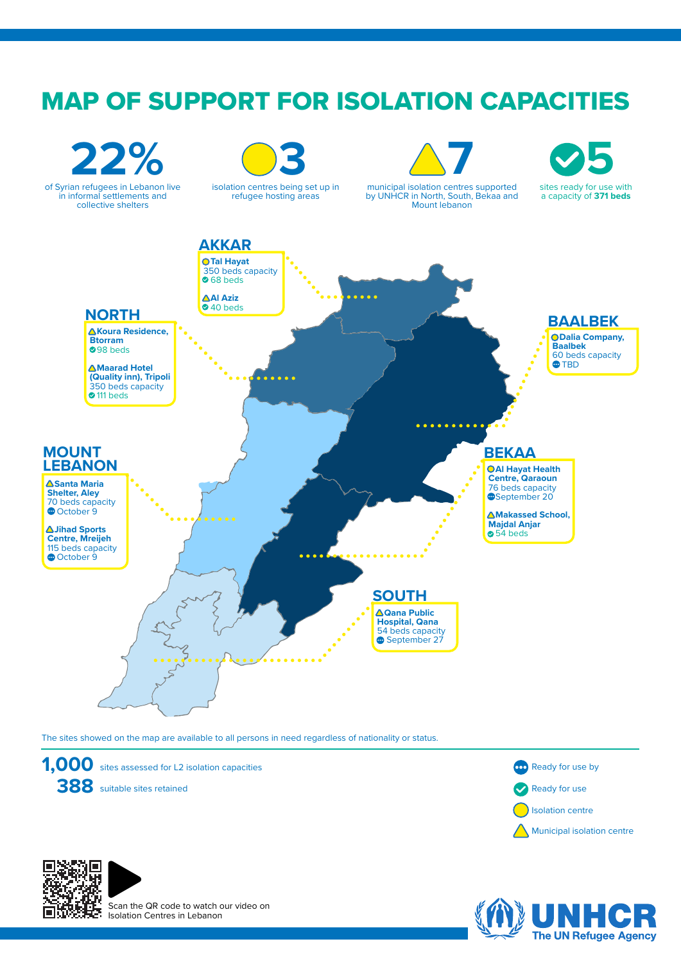## MAP OF SUPPORT FOR ISOLATION CAPACITIES



The sites showed on the map are available to all persons in need regardless of nationality or status.









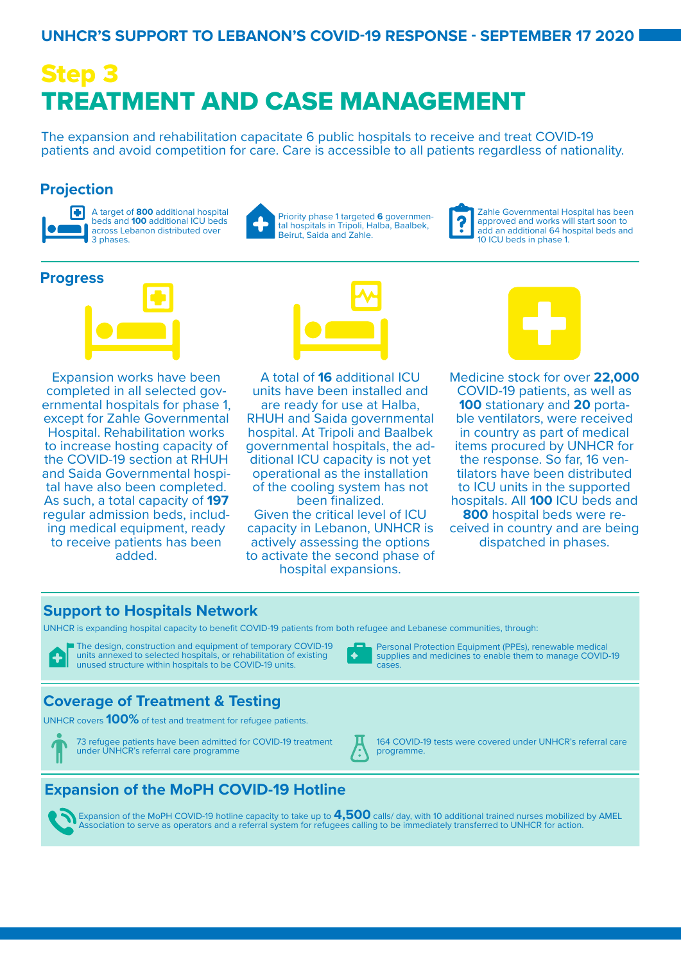### **UNHCR'S SUPPORT TO LEBANON'S COVID-19 RESPONSE - SEPTEMBER 17 2020**

# Step 3 TREATMENT AND CASE MANAGEMENT

The expansion and rehabilitation capacitate 6 public hospitals to receive and treat COVID-19 patients and avoid competition for care. Care is accessible to all patients regardless of nationality.

### **Projection**



A target of **800** additional hospital beds and **100** additional ICU beds across Lebanon distributed over 3 phases.



Priority phase 1 targeted **6** governmental hospitals in Tripoli, Halba, Baalbek, Beirut, Saida and Zahle.

Zahle Governmental Hospital has been approved and works will start soon to add an additional 64 hospital beds and 10 ICU beds in phase 1.

### **Progress**



Expansion works have been completed in all selected gov- ernmental hospitals for phase 1, except for Zahle Governmental Hospital. Rehabilitation works to increase hosting capacity of the COVID-19 section at RHUH and Saida Governmental hospi- tal have also been completed. As such, a total capacity of **197** regular admission beds, includ- ing medical equipment, ready to receive patients has been added.



A total of **16** additional ICU units have been installed and are ready for use at Halba, RHUH and Saida governmental hospital. At Tripoli and Baalbek governmental hospitals, the ad- ditional ICU capacity is not yet operational as the installation of the cooling system has not been finalized.

Given the critical level of ICU capacity in Lebanon, UNHCR is actively assessing the options to activate the second phase of hospital expansions.



Medicine stock for over **22,000**  COVID-19 patients, as well as<br>**100** stationary and **20** porta**ble ventilators, were received** in country as part of medical items procured by UNHCR for the response. So far, 16 ven- tilators have been distributed to ICU units in the supported hospitals. All **100** ICU beds and **<sup>800</sup>** hospital beds were re- ceived in country and are being dispatched in phases.

### **Support to Hospitals Network**

UNHCR is expanding hospital capacity to benefit COVID-19 patients from both refugee and Lebanese communities, through:



The design, construction and equipment of temporary COVID-19 units annexed to selected hospitals, or rehabilitation of existing unused structure within hospitals to be COVID-19 units.

### **Coverage of Treatment & Testing**

UNHCR covers **100%** of test and treatment for refugee patients.



73 refugee patients have been admitted for COVID-19 treatment under UNHCR's referral care programme



4

cases.

164 COVID-19 tests were covered under UNHCR's referral care programme.

Personal Protection Equipment (PPEs), renewable medical supplies and medicines to enable them to manage COVID-19

### **Expansion of the MoPH COVID-19 Hotline**

Expansion of the MoPH COVID-19 hotline capacity to take up to **4,500** calls/ day, with 10 additional trained nurses mobilized by AMEL Association to serve as operators and a referral system for refugees calling to be immediately transferred to UNHCR for action.